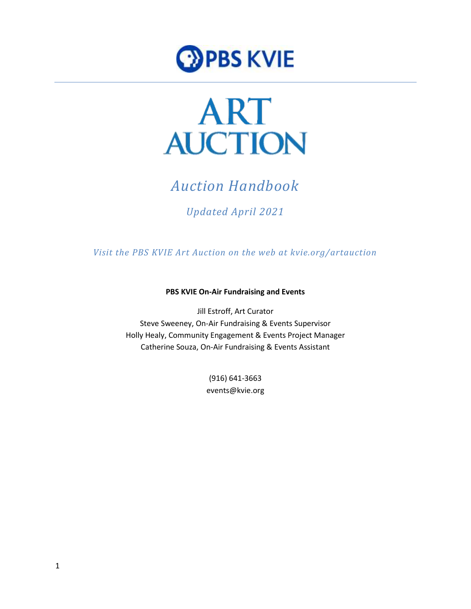



# *Auction Handbook*

## *Updated April 2021*

*Visit the PBS KVIE Art Auction on the web at kvie.org/artauction*

**PBS KVIE On-Air Fundraising and Events**

Jill Estroff, Art Curator Steve Sweeney, On-Air Fundraising & Events Supervisor Holly Healy, Community Engagement & Events Project Manager Catherine Souza, On-Air Fundraising & Events Assistant

> (916) 641-3663 events@kvie.org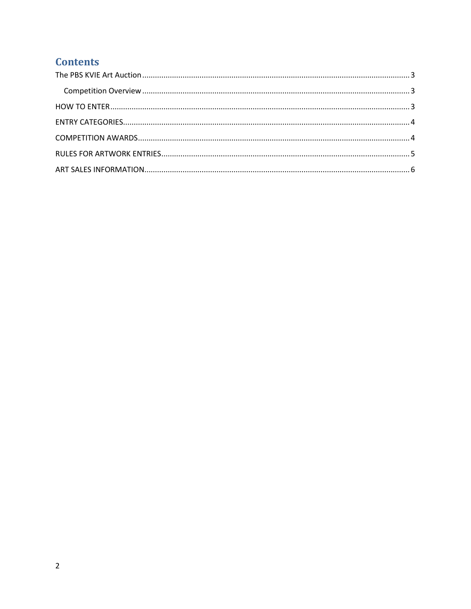## **Contents**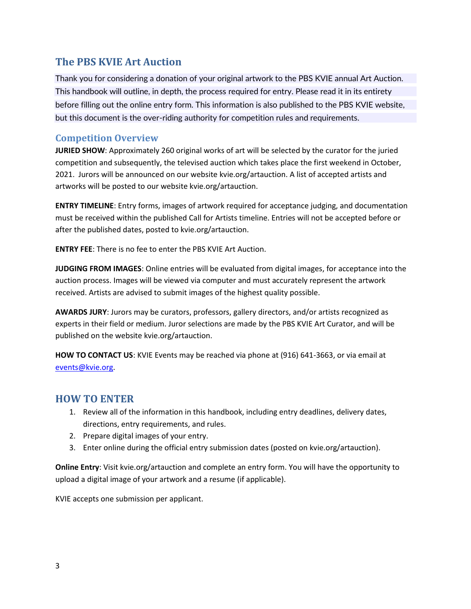## <span id="page-2-0"></span>**The PBS KVIE Art Auction**

Thank you for considering a donation of your original artwork to the PBS KVIE annual Art Auction. This handbook will outline, in depth, the process required for entry. Please read it in its entirety before filling out the online entry form. This information is also published to the PBS KVIE website, but this document is the over-riding authority for competition rules and requirements.

#### <span id="page-2-1"></span>**Competition Overview**

**JURIED SHOW**: Approximately 260 original works of art will be selected by the curator for the juried competition and subsequently, the televised auction which takes place the first weekend in October, 2021. Jurors will be announced on our website kvie.org/artauction. A list of accepted artists and artworks will be posted to our website kvie.org/artauction.

**ENTRY TIMELINE**: Entry forms, images of artwork required for acceptance judging, and documentation must be received within the published Call for Artists timeline. Entries will not be accepted before or after the published dates, posted to kvie.org/artauction.

**ENTRY FEE**: There is no fee to enter the PBS KVIE Art Auction.

**JUDGING FROM IMAGES**: Online entries will be evaluated from digital images, for acceptance into the auction process. Images will be viewed via computer and must accurately represent the artwork received. Artists are advised to submit images of the highest quality possible.

**AWARDS JURY**: Jurors may be curators, professors, gallery directors, and/or artists recognized as experts in their field or medium. Juror selections are made by the PBS KVIE Art Curator, and will be published on the website kvie.org/artauction.

**HOW TO CONTACT US**: KVIE Events may be reached via phone at (916) 641-3663, or via email at [events@kvie.org.](mailto:events@kvie.org)

### <span id="page-2-2"></span>**HOW TO ENTER**

- 1. Review all of the information in this handbook, including entry deadlines, delivery dates, directions, entry requirements, and rules.
- 2. Prepare digital images of your entry.
- 3. Enter online during the official entry submission dates (posted on kvie.org/artauction).

**Online Entry**: Visit kvie.org/artauction and complete an entry form. You will have the opportunity to upload a digital image of your artwork and a resume (if applicable).

KVIE accepts one submission per applicant.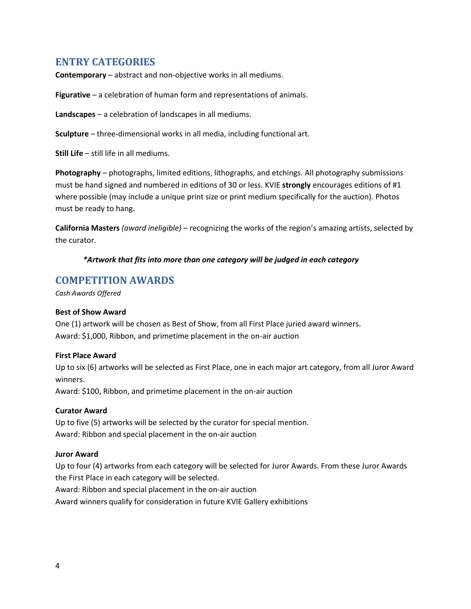### <span id="page-3-0"></span>**ENTRY CATEGORIES**

**Contemporary** – abstract and non-objective works in all mediums.

**Figurative** – a celebration of human form and representations of animals.

**Landscapes** – a celebration of landscapes in all mediums.

**Sculpture** – three-dimensional works in all media, including functional art.

**Still Life** – still life in all mediums.

**Photography** – photographs, limited editions, lithographs, and etchings. All photography submissions must be hand signed and numbered in editions of 30 or less. KVIE **strongly** encourages editions of #1 where possible (may include a unique print size or print medium specifically for the auction). Photos must be ready to hang.

**California Masters** *(award ineligible)* – recognizing the works of the region's amazing artists, selected by the curator.

#### *\*Artwork that fits into more than one category will be judged in each category*

#### <span id="page-3-1"></span>**COMPETITION AWARDS**

*Cash Awards Offered*

#### **Best of Show Award**

One (1) artwork will be chosen as Best of Show, from all First Place juried award winners. Award: \$1,000, Ribbon, and primetime placement in the on-air auction

#### **First Place Award**

Up to six (6) artworks will be selected as First Place, one in each major art category, from all Juror Award winners.

Award: \$100, Ribbon, and primetime placement in the on-air auction

#### **Curator Award**

Up to five (5) artworks will be selected by the curator for special mention. Award: Ribbon and special placement in the on-air auction

#### **Juror Award**

Up to four (4) artworks from each category will be selected for Juror Awards. From these Juror Awards the First Place in each category will be selected.

Award: Ribbon and special placement in the on-air auction

Award winners qualify for consideration in future KVIE Gallery exhibitions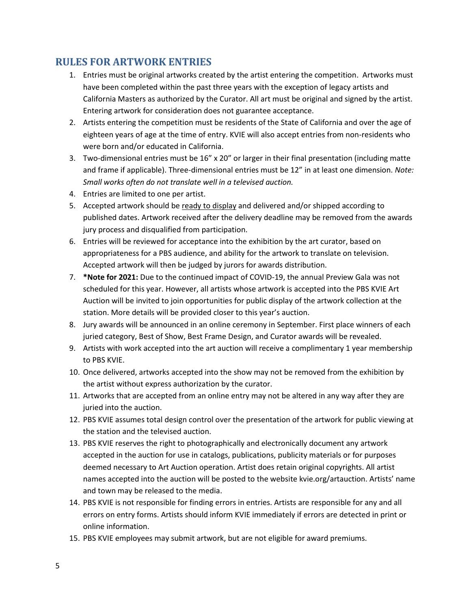## <span id="page-4-0"></span>**RULES FOR ARTWORK ENTRIES**

- 1. Entries must be original artworks created by the artist entering the competition. Artworks must have been completed within the past three years with the exception of legacy artists and California Masters as authorized by the Curator. All art must be original and signed by the artist. Entering artwork for consideration does not guarantee acceptance.
- 2. Artists entering the competition must be residents of the State of California and over the age of eighteen years of age at the time of entry. KVIE will also accept entries from non-residents who were born and/or educated in California.
- 3. Two-dimensional entries must be 16" x 20" or larger in their final presentation (including matte and frame if applicable). Three-dimensional entries must be 12" in at least one dimension. *Note: Small works often do not translate well in a televised auction.*
- 4. Entries are limited to one per artist.
- 5. Accepted artwork should be ready to display and delivered and/or shipped according to published dates. Artwork received after the delivery deadline may be removed from the awards jury process and disqualified from participation.
- 6. Entries will be reviewed for acceptance into the exhibition by the art curator, based on appropriateness for a PBS audience, and ability for the artwork to translate on television. Accepted artwork will then be judged by jurors for awards distribution.
- 7. **\*Note for 2021:** Due to the continued impact of COVID-19, the annual Preview Gala was not scheduled for this year. However, all artists whose artwork is accepted into the PBS KVIE Art Auction will be invited to join opportunities for public display of the artwork collection at the station. More details will be provided closer to this year's auction.
- 8. Jury awards will be announced in an online ceremony in September. First place winners of each juried category, Best of Show, Best Frame Design, and Curator awards will be revealed.
- 9. Artists with work accepted into the art auction will receive a complimentary 1 year membership to PBS KVIE.
- 10. Once delivered, artworks accepted into the show may not be removed from the exhibition by the artist without express authorization by the curator.
- 11. Artworks that are accepted from an online entry may not be altered in any way after they are juried into the auction.
- 12. PBS KVIE assumes total design control over the presentation of the artwork for public viewing at the station and the televised auction.
- 13. PBS KVIE reserves the right to photographically and electronically document any artwork accepted in the auction for use in catalogs, publications, publicity materials or for purposes deemed necessary to Art Auction operation. Artist does retain original copyrights. All artist names accepted into the auction will be posted to the website kvie.org/artauction. Artists' name and town may be released to the media.
- 14. PBS KVIE is not responsible for finding errors in entries. Artists are responsible for any and all errors on entry forms. Artists should inform KVIE immediately if errors are detected in print or online information.
- 15. PBS KVIE employees may submit artwork, but are not eligible for award premiums.